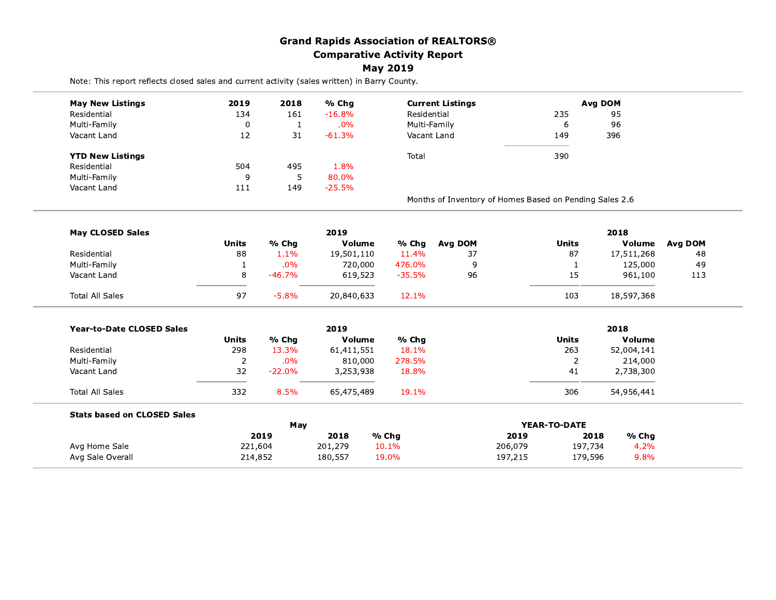|                                                                                               |              |              | <b>Grand Rapids Association of REALTORS®</b> |                 |                                                         |         |                |                |                |
|-----------------------------------------------------------------------------------------------|--------------|--------------|----------------------------------------------|-----------------|---------------------------------------------------------|---------|----------------|----------------|----------------|
|                                                                                               |              |              | <b>Comparative Activity Report</b>           |                 |                                                         |         |                |                |                |
|                                                                                               |              |              |                                              | <b>May 2019</b> |                                                         |         |                |                |                |
| Note: This report reflects closed sales and current activity (sales written) in Barry County. |              |              |                                              |                 |                                                         |         |                |                |                |
| <b>May New Listings</b>                                                                       | 2019         | 2018         | % Chg                                        |                 | <b>Current Listings</b>                                 |         |                | <b>Avg DOM</b> |                |
| Residential                                                                                   | 134          | 161          | $-16.8%$                                     | Residential     |                                                         |         | 235            | 95             |                |
| Multi-Family                                                                                  | 0            | $\mathbf{1}$ | .0%                                          | Multi-Family    |                                                         |         | 6              | 96             |                |
| Vacant Land                                                                                   | 12           | 31           | $-61.3%$                                     | Vacant Land     |                                                         |         | 149            | 396            |                |
| <b>YTD New Listings</b>                                                                       |              |              |                                              | Total           |                                                         |         | 390            |                |                |
| Residential                                                                                   | 504          | 495          | 1.8%                                         |                 |                                                         |         |                |                |                |
| Multi-Family                                                                                  | 9            | 5            | 80.0%                                        |                 |                                                         |         |                |                |                |
| Vacant Land                                                                                   | 111          | 149          | $-25.5%$                                     |                 |                                                         |         |                |                |                |
|                                                                                               |              |              |                                              |                 | Months of Inventory of Homes Based on Pending Sales 2.6 |         |                |                |                |
| <b>May CLOSED Sales</b>                                                                       |              |              | 2019                                         |                 |                                                         |         |                | 2018           |                |
|                                                                                               | <b>Units</b> | % Chg        | Volume                                       | % Chg           | <b>Avg DOM</b>                                          |         | <b>Units</b>   | Volume         | <b>Avg DOM</b> |
| Residential                                                                                   | 88           | 1.1%         | 19,501,110                                   | 11.4%           | 37                                                      |         | 87             | 17,511,268     | 48             |
| Multi-Family                                                                                  | 1            | .0%          | 720,000                                      | 476.0%          | 9                                                       |         | $\mathbf{1}$   | 125,000        | 49             |
| Vacant Land                                                                                   | 8            | $-46.7%$     | 619,523                                      | $-35.5%$        | 96                                                      |         | 15             | 961,100        | 113            |
| <b>Total All Sales</b>                                                                        | 97           | $-5.8%$      | 20,840,633                                   | 12.1%           |                                                         |         | 103            | 18,597,368     |                |
| <b>Year-to-Date CLOSED Sales</b>                                                              |              |              | 2019                                         |                 |                                                         |         |                | 2018           |                |
|                                                                                               | <b>Units</b> | % Chg        | Volume                                       | % Chg           |                                                         |         | <b>Units</b>   | <b>Volume</b>  |                |
| Residential                                                                                   | 298          | 13.3%        | 61,411,551                                   | 18.1%           |                                                         |         | 263            | 52,004,141     |                |
| Multi-Family                                                                                  | $\mathbf 2$  | $.0\%$       | 810,000                                      | 278.5%          |                                                         |         | $\overline{2}$ | 214,000        |                |
| Vacant Land                                                                                   | 32           | $-22.0%$     | 3,253,938                                    | 18.8%           |                                                         |         | 41             | 2,738,300      |                |
| Total All Sales                                                                               | 332          | 8.5%         | 65,475,489                                   | 19.1%           |                                                         |         | 306            | 54,956,441     |                |
| <b>Stats based on CLOSED Sales</b>                                                            |              |              |                                              |                 |                                                         |         |                |                |                |
|                                                                                               |              | May<br>2019  | 2018                                         | % Chg           |                                                         | 2019    | YEAR-TO-DATE   | 2018<br>% Chg  |                |
| Avg Home Sale                                                                                 | 221,604      |              | 201,279                                      | 10.1%           |                                                         | 206,079 | 197,734        | 4.2%           |                |
| Avg Sale Overall                                                                              | 214,852      |              | 180,557                                      | 19.0%           |                                                         | 197,215 | 179,596        | 9.8%           |                |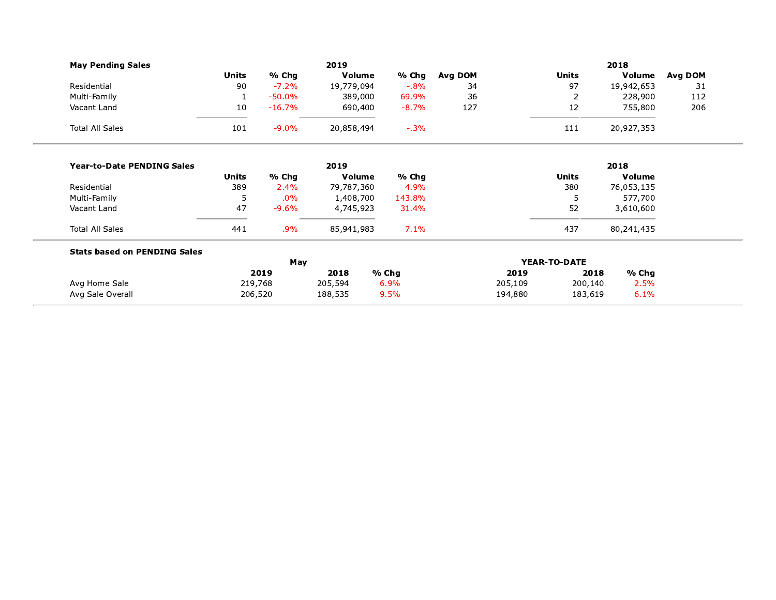| <b>May Pending Sales</b>            | 2019  |             |            |          | 2018    |                     |               |         |  |
|-------------------------------------|-------|-------------|------------|----------|---------|---------------------|---------------|---------|--|
|                                     | Units | % Chg       | Volume     | % Chg    | Avg DOM | <b>Units</b>        | Volume        | Avg DOM |  |
| Residential                         | 90    | $-7.2%$     | 19,779,094 | $-0.8\%$ | 34      | 97                  | 19,942,653    | 31      |  |
| Multi-Family                        |       | $-50.0\%$   | 389,000    | 69.9%    | 36      |                     | 228,900       | 112     |  |
| Vacant Land                         | 10    | $-16.7%$    | 690,400    | $-8.7%$  | 127     | 12                  | 755,800       | 206     |  |
| <b>Total All Sales</b>              | 101   | $-9.0\%$    | 20,858,494 | $-.3%$   |         | 111                 | 20,927,353    |         |  |
| <b>Year-to-Date PENDING Sales</b>   |       |             | 2019       |          |         |                     | 2018          |         |  |
|                                     | Units | % Chg       | Volume     | % Chg    |         | <b>Units</b>        | <b>Volume</b> |         |  |
| Residential                         | 389   | 2.4%        | 79,787,360 | 4.9%     |         | 380                 | 76,053,135    |         |  |
| Multi-Family                        | 5     | $.0\%$      | 1,408,700  | 143.8%   |         | 5                   | 577,700       |         |  |
| Vacant Land                         | 47    | $-9.6\%$    | 4,745,923  | 31.4%    |         | 52                  | 3,610,600     |         |  |
| <b>Total All Sales</b>              | 441   | $.9\%$      | 85,941,983 | 7.1%     |         | 437                 | 80,241,435    |         |  |
| <b>Stats based on PENDING Sales</b> |       |             |            |          |         |                     |               |         |  |
|                                     |       | May<br>---- | ----<br>.  |          |         | <b>YEAR-TO-DATE</b> |               |         |  |

|                  |         | riav    |       | TEAR-IU-DAIE |         |       |  |  |
|------------------|---------|---------|-------|--------------|---------|-------|--|--|
|                  | 2019    | 2018    | % Cha | 2019         | 2018    | % Cha |  |  |
| Avg Home Sale    | 219,768 | 205,594 | 6.9%  | 205,109      | 200,140 | 2.5%  |  |  |
| Avg Sale Overall | 206,520 | 188,535 | 9.5%  | 194,880      | 183,619 | 6.1%  |  |  |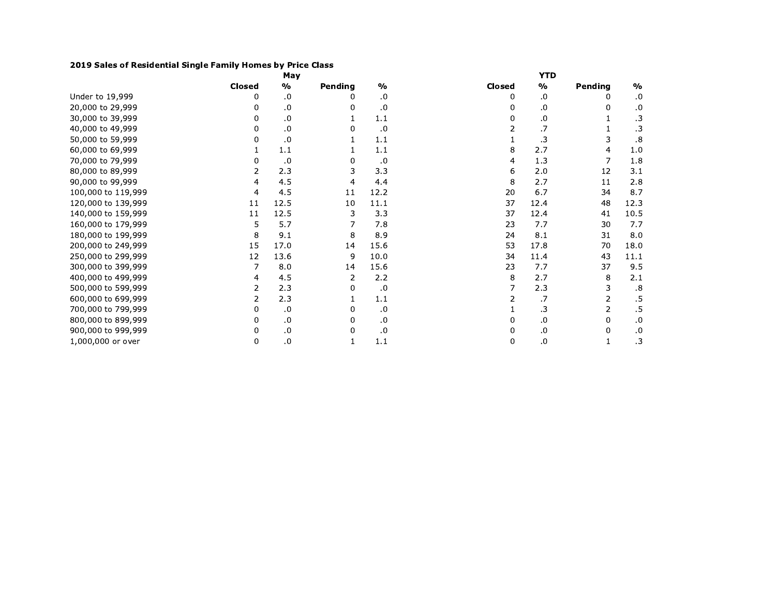## 2019 Sales of Residential Single Family Homes by Price Class

|                    |               | May           |         |               |        | <b>YTD</b> |                |               |
|--------------------|---------------|---------------|---------|---------------|--------|------------|----------------|---------------|
|                    | <b>Closed</b> | $\frac{0}{0}$ | Pending | $\frac{1}{2}$ | Closed | $\%$       | Pending        | $\frac{0}{0}$ |
| Under to 19,999    | 0             | .0            |         | .0            | 0      | .0         | 0              | .0            |
| 20,000 to 29,999   | 0             | .0            | 0       | .0            | 0      | .0         | 0              | .0            |
| 30,000 to 39,999   | 0             | .0            |         | 1.1           | 0      | .0         |                | $\cdot$ 3     |
| 40,000 to 49,999   | 0             | .0            | 0       | .0            |        | .7         |                | $\cdot$ 3     |
| 50,000 to 59,999   | 0             | .0            |         | 1.1           |        | .3         | 3              | .8            |
| 60,000 to 69,999   |               | 1.1           |         | 1.1           | 8      | 2.7        | 4              | 1.0           |
| 70,000 to 79,999   | 0             | .0            | 0       | .0            | 4      | 1.3        |                | 1.8           |
| 80,000 to 89,999   | 2             | 2.3           | 3       | 3.3           | 6      | 2.0        | 12             | 3.1           |
| 90,000 to 99,999   | 4             | 4.5           | 4       | 4.4           | 8      | 2.7        | 11             | 2.8           |
| 100,000 to 119,999 | 4             | 4.5           | 11      | 12.2          | 20     | 6.7        | 34             | 8.7           |
| 120,000 to 139,999 | 11            | 12.5          | 10      | 11.1          | 37     | 12.4       | 48             | 12.3          |
| 140,000 to 159,999 | 11            | 12.5          | 3       | 3.3           | 37     | 12.4       | 41             | 10.5          |
| 160,000 to 179,999 | 5             | 5.7           |         | 7.8           | 23     | 7.7        | 30             | 7.7           |
| 180,000 to 199,999 | 8             | 9.1           | 8       | 8.9           | 24     | 8.1        | 31             | 8.0           |
| 200,000 to 249,999 | 15            | 17.0          | 14      | 15.6          | 53     | 17.8       | 70             | 18.0          |
| 250,000 to 299,999 | 12            | 13.6          | 9       | 10.0          | 34     | 11.4       | 43             | 11.1          |
| 300,000 to 399,999 | 7             | 8.0           | 14      | 15.6          | 23     | 7.7        | 37             | 9.5           |
| 400,000 to 499,999 | 4             | 4.5           | 2       | 2.2           | 8      | 2.7        | 8              | 2.1           |
| 500,000 to 599,999 | 2             | 2.3           | 0       | .0            |        | 2.3        | 3              | .8            |
| 600,000 to 699,999 | 2             | 2.3           |         | 1.1           |        | .7         | 2              | .5            |
| 700,000 to 799,999 | 0             | .0            | 0       | .0            |        | .3         | $\overline{2}$ | $.5\,$        |
| 800,000 to 899,999 | 0             | .0            | 0       | .0            | 0      | .0         | 0              | .0            |
| 900,000 to 999,999 | 0             | $\cdot$ 0     | 0       | .0            | 0      | .0         | 0              | $\cdot$       |
| 1,000,000 or over  | 0             | .0            |         | 1.1           | 0      | $\cdot$    | $\mathbf{1}$   | $\cdot$ 3     |